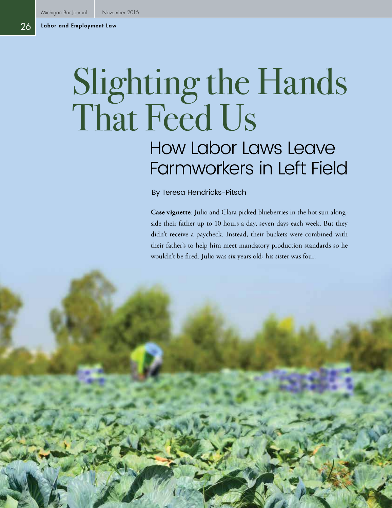# Slighting the Hands That Feed Us

## How Labor Laws Leave Farmworkers in Left Field

By Teresa Hendricks-Pitsch

**Case vignette**: Julio and Clara picked blueberries in the hot sun alongside their father up to 10 hours a day, seven days each week. But they didn't receive a paycheck. Instead, their buckets were combined with their father's to help him meet mandatory production standards so he wouldn't be fired. Julio was six years old; his sister was four.

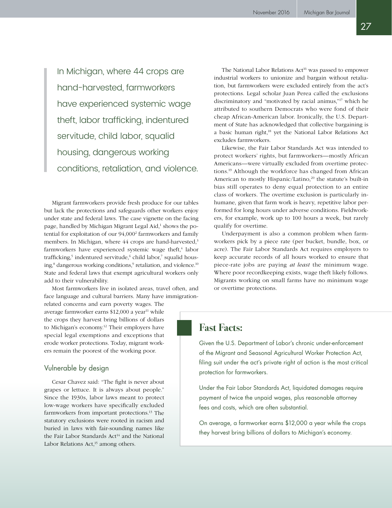In Michigan, where 44 crops are hand-harvested, farmworkers have experienced systemic wage theft, labor trafficking, indentured servitude, child labor, squalid housing, dangerous working conditions, retaliation, and violence.

Migrant farmworkers provide fresh produce for our tables but lack the protections and safeguards other workers enjoy under state and federal laws. The case vignette on the facing page, handled by Michigan Migrant Legal Aid,<sup>1</sup> shows the potential for exploitation of our 94,0002 farmworkers and family members. In Michigan, where 44 crops are hand-harvested,<sup>3</sup> farmworkers have experienced systemic wage theft,<sup>4</sup> labor trafficking,<sup>5</sup> indentured servitude,<sup>6</sup> child labor,<sup>7</sup> squalid housing,<sup>8</sup> dangerous working conditions,<sup>9</sup> retaliation, and violence.<sup>10</sup> State and federal laws that exempt agricultural workers only add to their vulnerability.

Most farmworkers live in isolated areas, travel often, and face language and cultural barriers. Many have immigration-

related concerns and earn poverty wages. The average farmworker earns \$12,000 a year<sup>11</sup> while the crops they harvest bring billions of dollars to Michigan's economy.12 Their employers have special legal exemptions and exceptions that erode worker protections. Today, migrant workers remain the poorest of the working poor.

#### Vulnerable by design

Cesar Chavez said: "The fight is never about grapes or lettuce. It is always about people." Since the 1930s, labor laws meant to protect low-wage workers have specifically excluded farmworkers from important protections.13 The statutory exclusions were rooted in racism and buried in laws with fair-sounding names like the Fair Labor Standards Act<sup>14</sup> and the National Labor Relations Act,<sup>15</sup> among others.

The National Labor Relations Act<sup>16</sup> was passed to empower industrial workers to unionize and bargain without retaliation, but farmworkers were excluded entirely from the act's protections. Legal scholar Juan Perea called the exclusions discriminatory and "motivated by racial animus,"17 which he attributed to southern Democrats who were fond of their cheap African-American labor. Ironically, the U.S. Department of State has acknowledged that collective bargaining is a basic human right,18 yet the National Labor Relations Act excludes farmworkers.

Likewise, the Fair Labor Standards Act was intended to protect workers' rights, but farmworkers—mostly African Americans—were virtually excluded from overtime protections.19 Although the workforce has changed from African American to mostly Hispanic/Latino,<sup>20</sup> the statute's built-in bias still operates to deny equal protection to an entire class of workers. The overtime exclusion is particularly inhumane, given that farm work is heavy, repetitive labor performed for long hours under adverse conditions. Fieldworkers, for example, work up to 100 hours a week, but rarely qualify for overtime.

Underpayment is also a common problem when farmworkers pick by a piece rate (per bucket, bundle, box, or acre). The Fair Labor Standards Act requires employers to keep accurate records of all hours worked to ensure that piece-rate jobs are paying *at least* the minimum wage. Where poor recordkeeping exists, wage theft likely follows. Migrants working on small farms have no minimum wage or overtime protections.

### **Fast Facts:**

Given the U.S. Department of Labor's chronic under-enforcement of the Migrant and Seasonal Agricultural Worker Protection Act, filing suit under the act's private right of action is the most critical protection for farmworkers.

Under the Fair Labor Standards Act, liquidated damages require payment of twice the unpaid wages, plus reasonable attorney fees and costs, which are often substantial.

On average, a farmworker earns \$12,000 a year while the crops they harvest bring billions of dollars to Michigan's economy.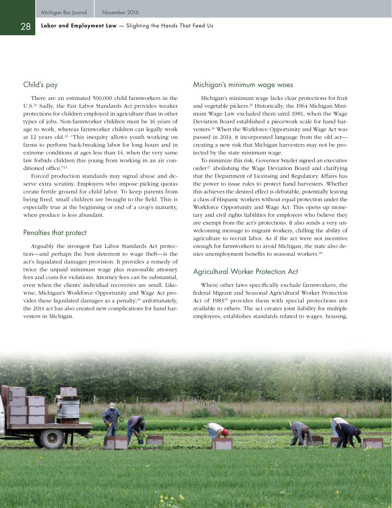#### Child's pay

There are an estimated 500,000 child farmworkers in the U.S.21 Sadly, the Fair Labor Standards Act provides weaker protections for children employed in agriculture than in other types of jobs. Non-farmworker children must be 16 years of age to work, whereas farmworker children can legally work at 12 years old.22 "This inequity allows youth working on farms to perform back-breaking labor for long hours and in extreme conditions at ages less than 14, when the very same law forbids children this young from working in an air conditioned office."23

Forced production standards may signal abuse and deserve extra scrutiny. Employers who impose picking quotas create fertile ground for child labor. To keep parents from being fired, small children are brought to the field. This is especially true at the beginning or end of a crop's maturity, when produce is less abundant.

#### Penalties that protect

Arguably the strongest Fair Labor Standards Act protection—and perhaps the best deterrent to wage theft—is the act's liquidated damages provision. It provides a remedy of twice the unpaid minimum wage plus reasonable attorney fees and costs for violations. Attorney fees can be substantial, even when the clients' individual recoveries are small. Likewise, Michigan's Workforce Opportunity and Wage Act provides these liquidated damages as a penalty; $24$  unfortunately, the 2014 act has also created new complications for hand harvesters in Michigan.

#### Michigan's minimum wage woes

Michigan's minimum wage lacks clear protections for fruit and vegetable pickers.<sup>25</sup> Historically, the 1964 Michigan Minimum Wage Law excluded them until 1981, when the Wage Deviation Board established a piecework scale for hand harvesters.26 When the Workforce Opportunity and Wage Act was passed in 2014, it incorporated language from the old act creating a new risk that Michigan harvesters may not be protected by the state minimum wage.

To minimize this risk, Governor Snyder signed an executive order<sup>27</sup> abolishing the Wage Deviation Board and clarifying that the Department of Licensing and Regulatory Affairs has the power to issue rules to protect hand harvesters. Whether this achieves the desired effect is debatable, potentially leaving a class of Hispanic workers without equal protection under the Workforce Opportunity and Wage Act. This opens up monetary and civil rights liabilities for employers who believe they are exempt from the act's protections. It also sends a very unwelcoming message to migrant workers, chilling the ability of agriculture to recruit labor. As if the act were not incentive enough for farmworkers to avoid Michigan, the state also denies unemployment benefits to seasonal workers.<sup>28</sup>

#### Agricultural Worker Protection Act

Where other laws specifically exclude farmworkers, the federal Migrant and Seasonal Agricultural Worker Protection Act of 1983<sup>29</sup> provides them with special protections not available to others. The act creates joint liability for multiple employers; establishes standards related to wages, housing,